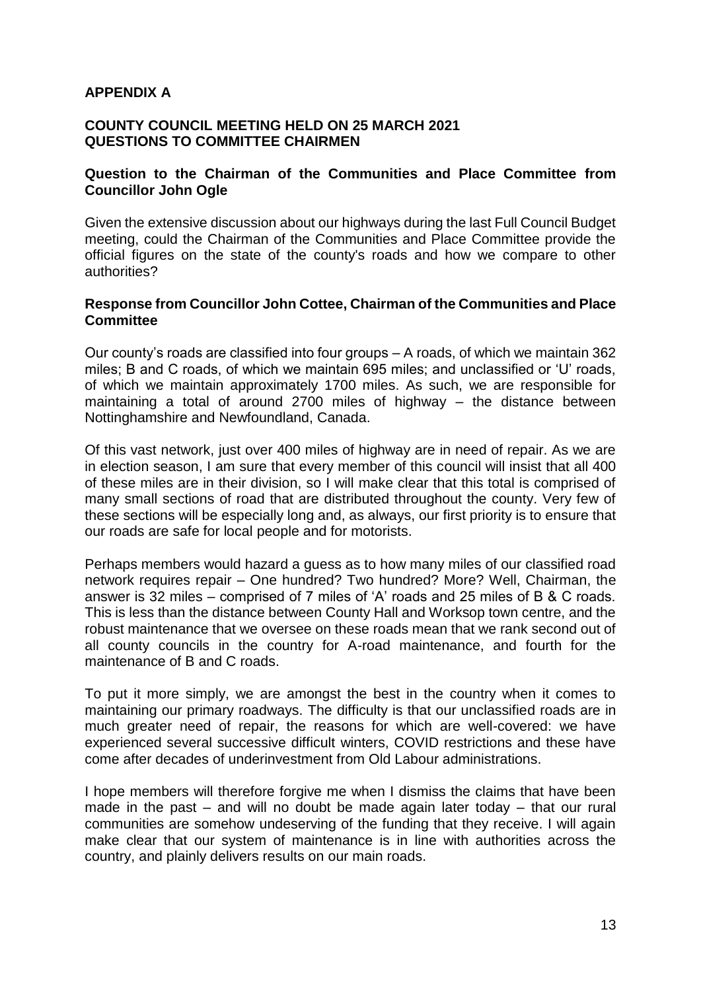# **APPENDIX A**

#### **COUNTY COUNCIL MEETING HELD ON 25 MARCH 2021 QUESTIONS TO COMMITTEE CHAIRMEN**

## **Question to the Chairman of the Communities and Place Committee from Councillor John Ogle**

Given the extensive discussion about our highways during the last Full Council Budget meeting, could the Chairman of the Communities and Place Committee provide the official figures on the state of the county's roads and how we compare to other authorities?

## **Response from Councillor John Cottee, Chairman of the Communities and Place Committee**

Our county's roads are classified into four groups – A roads, of which we maintain 362 miles; B and C roads, of which we maintain 695 miles; and unclassified or 'U' roads, of which we maintain approximately 1700 miles. As such, we are responsible for maintaining a total of around 2700 miles of highway – the distance between Nottinghamshire and Newfoundland, Canada.

Of this vast network, just over 400 miles of highway are in need of repair. As we are in election season, I am sure that every member of this council will insist that all 400 of these miles are in their division, so I will make clear that this total is comprised of many small sections of road that are distributed throughout the county. Very few of these sections will be especially long and, as always, our first priority is to ensure that our roads are safe for local people and for motorists.

Perhaps members would hazard a guess as to how many miles of our classified road network requires repair – One hundred? Two hundred? More? Well, Chairman, the answer is 32 miles – comprised of 7 miles of 'A' roads and 25 miles of B & C roads. This is less than the distance between County Hall and Worksop town centre, and the robust maintenance that we oversee on these roads mean that we rank second out of all county councils in the country for A-road maintenance, and fourth for the maintenance of B and C roads.

To put it more simply, we are amongst the best in the country when it comes to maintaining our primary roadways. The difficulty is that our unclassified roads are in much greater need of repair, the reasons for which are well-covered: we have experienced several successive difficult winters, COVID restrictions and these have come after decades of underinvestment from Old Labour administrations.

I hope members will therefore forgive me when I dismiss the claims that have been made in the past – and will no doubt be made again later today – that our rural communities are somehow undeserving of the funding that they receive. I will again make clear that our system of maintenance is in line with authorities across the country, and plainly delivers results on our main roads.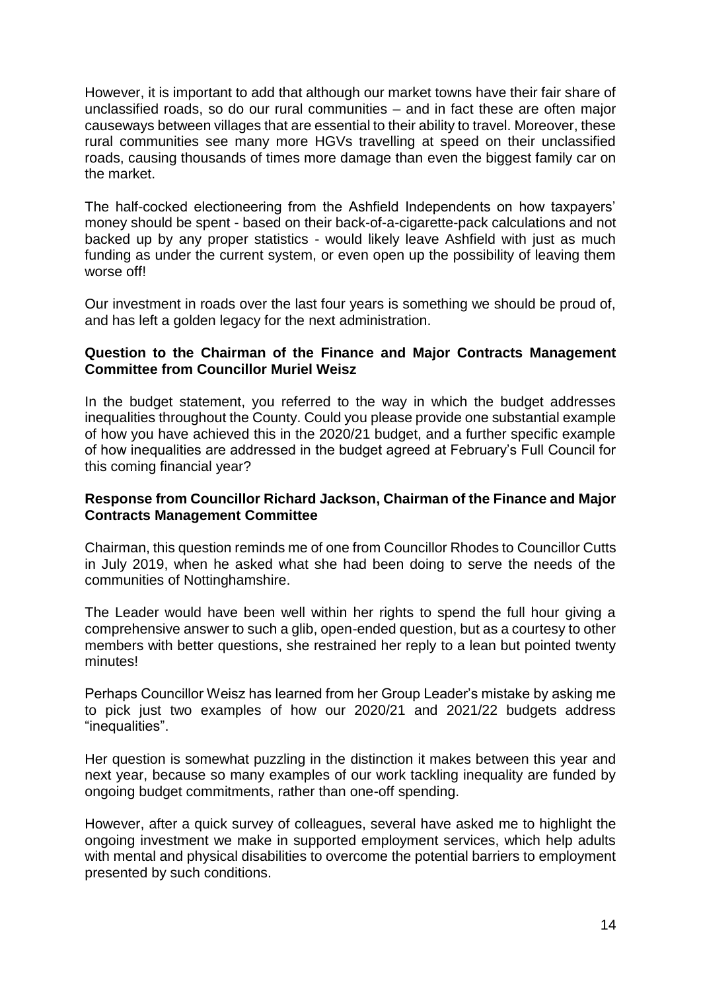However, it is important to add that although our market towns have their fair share of unclassified roads, so do our rural communities – and in fact these are often major causeways between villages that are essential to their ability to travel. Moreover, these rural communities see many more HGVs travelling at speed on their unclassified roads, causing thousands of times more damage than even the biggest family car on the market.

The half-cocked electioneering from the Ashfield Independents on how taxpayers' money should be spent - based on their back-of-a-cigarette-pack calculations and not backed up by any proper statistics - would likely leave Ashfield with just as much funding as under the current system, or even open up the possibility of leaving them worse off!

Our investment in roads over the last four years is something we should be proud of, and has left a golden legacy for the next administration.

# **Question to the Chairman of the Finance and Major Contracts Management Committee from Councillor Muriel Weisz**

In the budget statement, you referred to the way in which the budget addresses inequalities throughout the County. Could you please provide one substantial example of how you have achieved this in the 2020/21 budget, and a further specific example of how inequalities are addressed in the budget agreed at February's Full Council for this coming financial year?

# **Response from Councillor Richard Jackson, Chairman of the Finance and Major Contracts Management Committee**

Chairman, this question reminds me of one from Councillor Rhodes to Councillor Cutts in July 2019, when he asked what she had been doing to serve the needs of the communities of Nottinghamshire.

The Leader would have been well within her rights to spend the full hour giving a comprehensive answer to such a glib, open-ended question, but as a courtesy to other members with better questions, she restrained her reply to a lean but pointed twenty minutes!

Perhaps Councillor Weisz has learned from her Group Leader's mistake by asking me to pick just two examples of how our 2020/21 and 2021/22 budgets address "inequalities".

Her question is somewhat puzzling in the distinction it makes between this year and next year, because so many examples of our work tackling inequality are funded by ongoing budget commitments, rather than one-off spending.

However, after a quick survey of colleagues, several have asked me to highlight the ongoing investment we make in supported employment services, which help adults with mental and physical disabilities to overcome the potential barriers to employment presented by such conditions.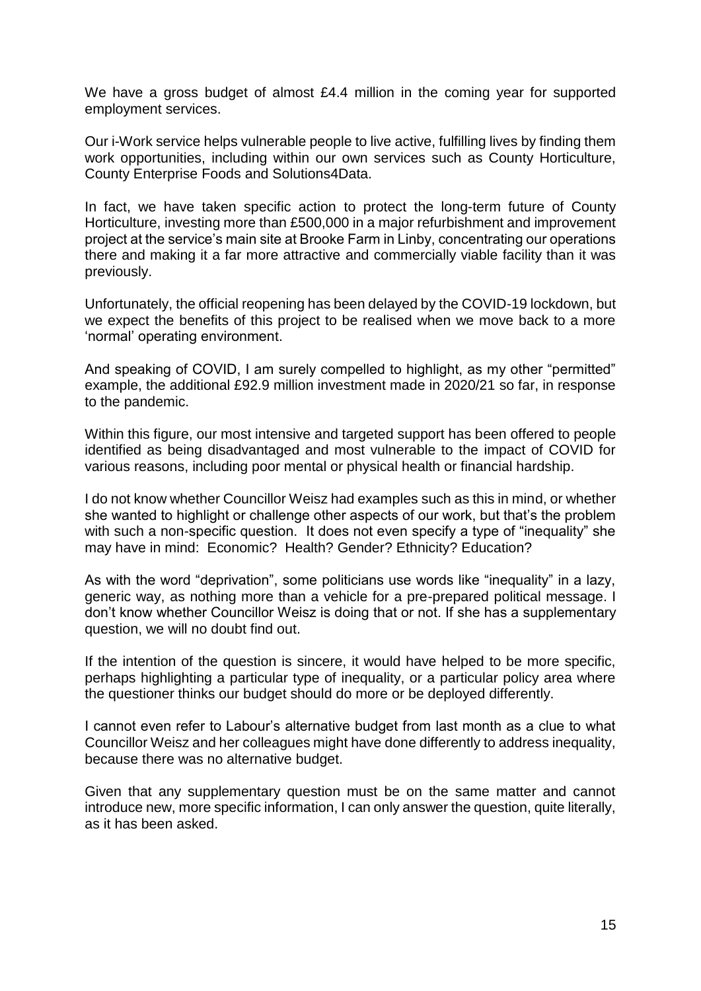We have a gross budget of almost £4.4 million in the coming year for supported employment services.

Our i-Work service helps vulnerable people to live active, fulfilling lives by finding them work opportunities, including within our own services such as County Horticulture, County Enterprise Foods and Solutions4Data.

In fact, we have taken specific action to protect the long-term future of County Horticulture, investing more than £500,000 in a major refurbishment and improvement project at the service's main site at Brooke Farm in Linby, concentrating our operations there and making it a far more attractive and commercially viable facility than it was previously.

Unfortunately, the official reopening has been delayed by the COVID-19 lockdown, but we expect the benefits of this project to be realised when we move back to a more 'normal' operating environment.

And speaking of COVID, I am surely compelled to highlight, as my other "permitted" example, the additional £92.9 million investment made in 2020/21 so far, in response to the pandemic.

Within this figure, our most intensive and targeted support has been offered to people identified as being disadvantaged and most vulnerable to the impact of COVID for various reasons, including poor mental or physical health or financial hardship.

I do not know whether Councillor Weisz had examples such as this in mind, or whether she wanted to highlight or challenge other aspects of our work, but that's the problem with such a non-specific question. It does not even specify a type of "inequality" she may have in mind: Economic? Health? Gender? Ethnicity? Education?

As with the word "deprivation", some politicians use words like "inequality" in a lazy, generic way, as nothing more than a vehicle for a pre-prepared political message. I don't know whether Councillor Weisz is doing that or not. If she has a supplementary question, we will no doubt find out.

If the intention of the question is sincere, it would have helped to be more specific, perhaps highlighting a particular type of inequality, or a particular policy area where the questioner thinks our budget should do more or be deployed differently.

I cannot even refer to Labour's alternative budget from last month as a clue to what Councillor Weisz and her colleagues might have done differently to address inequality, because there was no alternative budget.

Given that any supplementary question must be on the same matter and cannot introduce new, more specific information, I can only answer the question, quite literally, as it has been asked.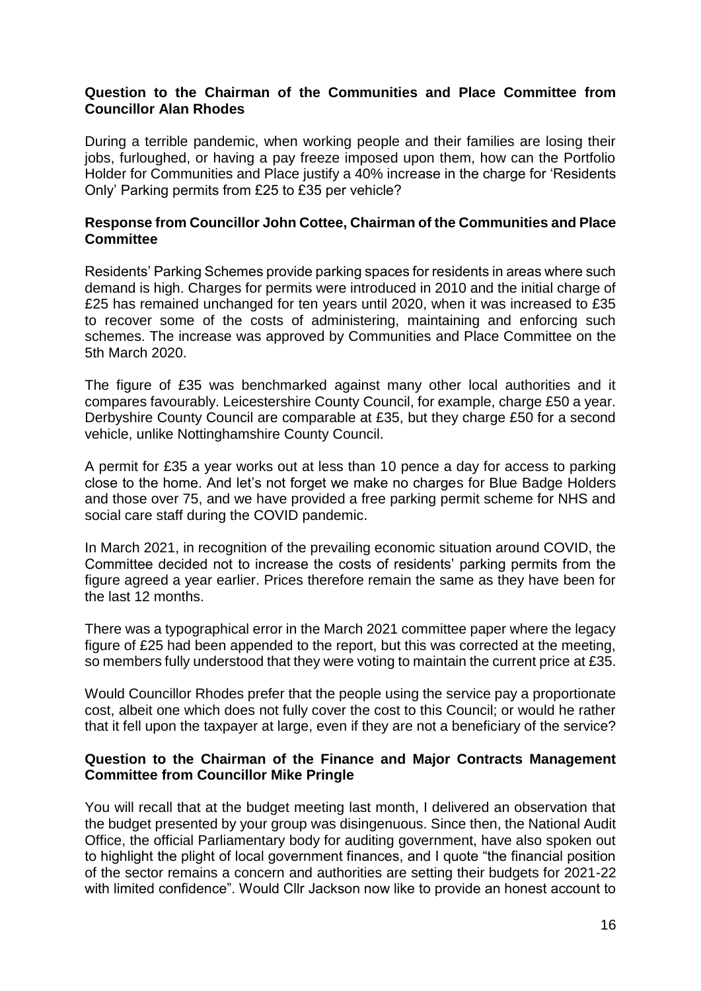## **Question to the Chairman of the Communities and Place Committee from Councillor Alan Rhodes**

During a terrible pandemic, when working people and their families are losing their jobs, furloughed, or having a pay freeze imposed upon them, how can the Portfolio Holder for Communities and Place justify a 40% increase in the charge for 'Residents Only' Parking permits from £25 to £35 per vehicle?

## **Response from Councillor John Cottee, Chairman of the Communities and Place Committee**

Residents' Parking Schemes provide parking spaces for residents in areas where such demand is high. Charges for permits were introduced in 2010 and the initial charge of £25 has remained unchanged for ten years until 2020, when it was increased to £35 to recover some of the costs of administering, maintaining and enforcing such schemes. The increase was approved by Communities and Place Committee on the 5th March 2020.

The figure of £35 was benchmarked against many other local authorities and it compares favourably. Leicestershire County Council, for example, charge £50 a year. Derbyshire County Council are comparable at £35, but they charge £50 for a second vehicle, unlike Nottinghamshire County Council.

A permit for £35 a year works out at less than 10 pence a day for access to parking close to the home. And let's not forget we make no charges for Blue Badge Holders and those over 75, and we have provided a free parking permit scheme for NHS and social care staff during the COVID pandemic.

In March 2021, in recognition of the prevailing economic situation around COVID, the Committee decided not to increase the costs of residents' parking permits from the figure agreed a year earlier. Prices therefore remain the same as they have been for the last 12 months.

There was a typographical error in the March 2021 committee paper where the legacy figure of £25 had been appended to the report, but this was corrected at the meeting, so members fully understood that they were voting to maintain the current price at £35.

Would Councillor Rhodes prefer that the people using the service pay a proportionate cost, albeit one which does not fully cover the cost to this Council; or would he rather that it fell upon the taxpayer at large, even if they are not a beneficiary of the service?

#### **Question to the Chairman of the Finance and Major Contracts Management Committee from Councillor Mike Pringle**

You will recall that at the budget meeting last month, I delivered an observation that the budget presented by your group was disingenuous. Since then, the National Audit Office, the official Parliamentary body for auditing government, have also spoken out to highlight the plight of local government finances, and I quote "the financial position of the sector remains a concern and authorities are setting their budgets for 2021-22 with limited confidence". Would Cllr Jackson now like to provide an honest account to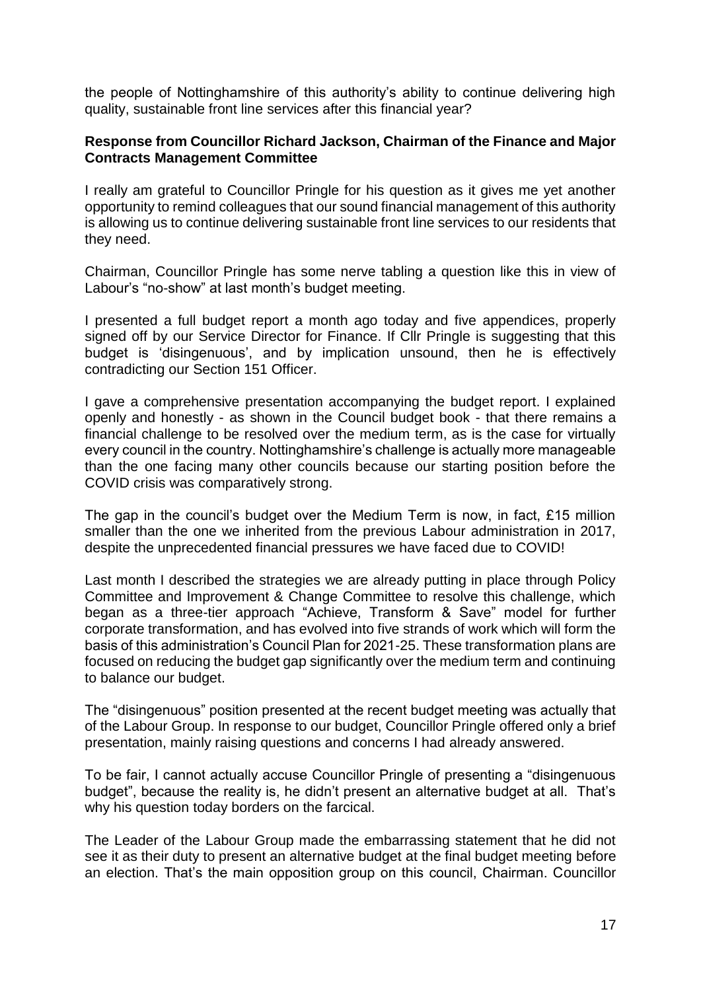the people of Nottinghamshire of this authority's ability to continue delivering high quality, sustainable front line services after this financial year?

## **Response from Councillor Richard Jackson, Chairman of the Finance and Major Contracts Management Committee**

I really am grateful to Councillor Pringle for his question as it gives me yet another opportunity to remind colleagues that our sound financial management of this authority is allowing us to continue delivering sustainable front line services to our residents that they need.

Chairman, Councillor Pringle has some nerve tabling a question like this in view of Labour's "no-show" at last month's budget meeting.

I presented a full budget report a month ago today and five appendices, properly signed off by our Service Director for Finance. If Cllr Pringle is suggesting that this budget is 'disingenuous', and by implication unsound, then he is effectively contradicting our Section 151 Officer.

I gave a comprehensive presentation accompanying the budget report. I explained openly and honestly - as shown in the Council budget book - that there remains a financial challenge to be resolved over the medium term, as is the case for virtually every council in the country. Nottinghamshire's challenge is actually more manageable than the one facing many other councils because our starting position before the COVID crisis was comparatively strong.

The gap in the council's budget over the Medium Term is now, in fact, £15 million smaller than the one we inherited from the previous Labour administration in 2017, despite the unprecedented financial pressures we have faced due to COVID!

Last month I described the strategies we are already putting in place through Policy Committee and Improvement & Change Committee to resolve this challenge, which began as a three-tier approach "Achieve, Transform & Save" model for further corporate transformation, and has evolved into five strands of work which will form the basis of this administration's Council Plan for 2021-25. These transformation plans are focused on reducing the budget gap significantly over the medium term and continuing to balance our budget.

The "disingenuous" position presented at the recent budget meeting was actually that of the Labour Group. In response to our budget, Councillor Pringle offered only a brief presentation, mainly raising questions and concerns I had already answered.

To be fair, I cannot actually accuse Councillor Pringle of presenting a "disingenuous budget", because the reality is, he didn't present an alternative budget at all. That's why his question today borders on the farcical.

The Leader of the Labour Group made the embarrassing statement that he did not see it as their duty to present an alternative budget at the final budget meeting before an election. That's the main opposition group on this council, Chairman. Councillor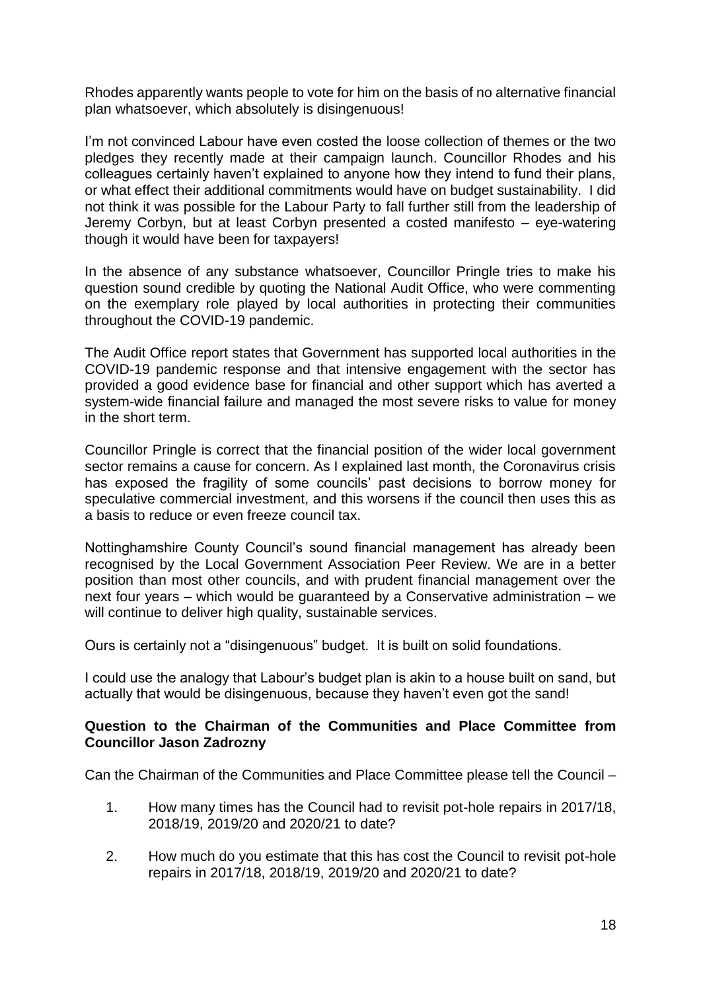Rhodes apparently wants people to vote for him on the basis of no alternative financial plan whatsoever, which absolutely is disingenuous!

I'm not convinced Labour have even costed the loose collection of themes or the two pledges they recently made at their campaign launch. Councillor Rhodes and his colleagues certainly haven't explained to anyone how they intend to fund their plans, or what effect their additional commitments would have on budget sustainability. I did not think it was possible for the Labour Party to fall further still from the leadership of Jeremy Corbyn, but at least Corbyn presented a costed manifesto – eye-watering though it would have been for taxpayers!

In the absence of any substance whatsoever, Councillor Pringle tries to make his question sound credible by quoting the National Audit Office, who were commenting on the exemplary role played by local authorities in protecting their communities throughout the COVID-19 pandemic.

The Audit Office report states that Government has supported local authorities in the COVID-19 pandemic response and that intensive engagement with the sector has provided a good evidence base for financial and other support which has averted a system-wide financial failure and managed the most severe risks to value for money in the short term.

Councillor Pringle is correct that the financial position of the wider local government sector remains a cause for concern. As I explained last month, the Coronavirus crisis has exposed the fragility of some councils' past decisions to borrow money for speculative commercial investment, and this worsens if the council then uses this as a basis to reduce or even freeze council tax.

Nottinghamshire County Council's sound financial management has already been recognised by the Local Government Association Peer Review. We are in a better position than most other councils, and with prudent financial management over the next four years – which would be guaranteed by a Conservative administration – we will continue to deliver high quality, sustainable services.

Ours is certainly not a "disingenuous" budget. It is built on solid foundations.

I could use the analogy that Labour's budget plan is akin to a house built on sand, but actually that would be disingenuous, because they haven't even got the sand!

## **Question to the Chairman of the Communities and Place Committee from Councillor Jason Zadrozny**

Can the Chairman of the Communities and Place Committee please tell the Council –

- 1. How many times has the Council had to revisit pot-hole repairs in 2017/18, 2018/19, 2019/20 and 2020/21 to date?
- 2. How much do you estimate that this has cost the Council to revisit pot-hole repairs in 2017/18, 2018/19, 2019/20 and 2020/21 to date?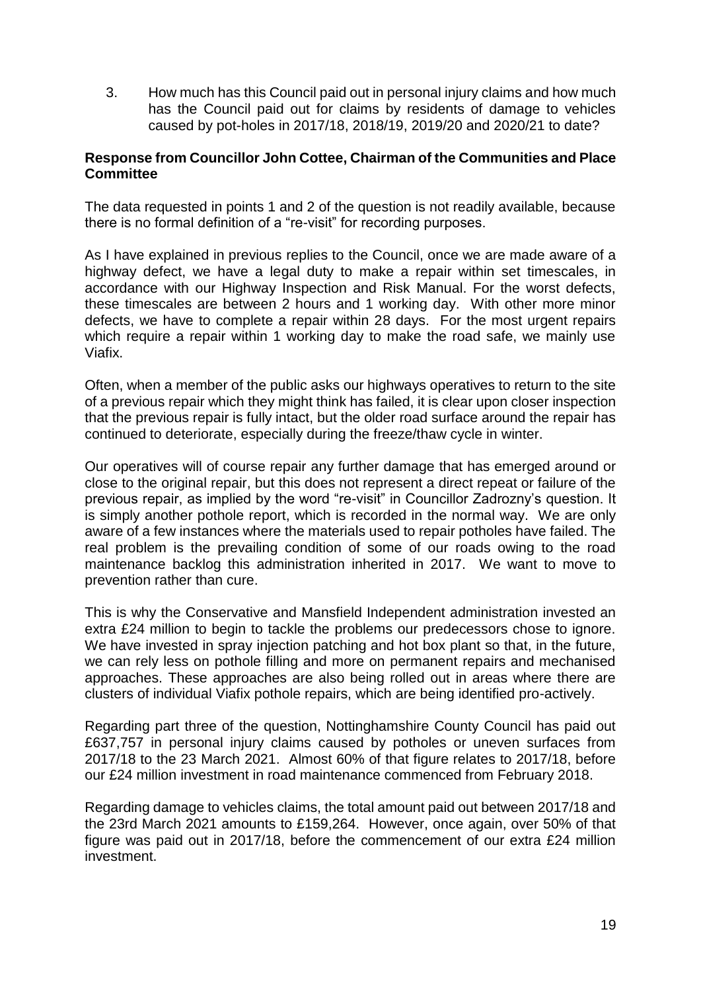3. How much has this Council paid out in personal injury claims and how much has the Council paid out for claims by residents of damage to vehicles caused by pot-holes in 2017/18, 2018/19, 2019/20 and 2020/21 to date?

# **Response from Councillor John Cottee, Chairman of the Communities and Place Committee**

The data requested in points 1 and 2 of the question is not readily available, because there is no formal definition of a "re-visit" for recording purposes.

As I have explained in previous replies to the Council, once we are made aware of a highway defect, we have a legal duty to make a repair within set timescales, in accordance with our Highway Inspection and Risk Manual. For the worst defects, these timescales are between 2 hours and 1 working day. With other more minor defects, we have to complete a repair within 28 days. For the most urgent repairs which require a repair within 1 working day to make the road safe, we mainly use Viafix.

Often, when a member of the public asks our highways operatives to return to the site of a previous repair which they might think has failed, it is clear upon closer inspection that the previous repair is fully intact, but the older road surface around the repair has continued to deteriorate, especially during the freeze/thaw cycle in winter.

Our operatives will of course repair any further damage that has emerged around or close to the original repair, but this does not represent a direct repeat or failure of the previous repair, as implied by the word "re-visit" in Councillor Zadrozny's question. It is simply another pothole report, which is recorded in the normal way. We are only aware of a few instances where the materials used to repair potholes have failed. The real problem is the prevailing condition of some of our roads owing to the road maintenance backlog this administration inherited in 2017. We want to move to prevention rather than cure.

This is why the Conservative and Mansfield Independent administration invested an extra £24 million to begin to tackle the problems our predecessors chose to ignore. We have invested in spray injection patching and hot box plant so that, in the future, we can rely less on pothole filling and more on permanent repairs and mechanised approaches. These approaches are also being rolled out in areas where there are clusters of individual Viafix pothole repairs, which are being identified pro-actively.

Regarding part three of the question, Nottinghamshire County Council has paid out £637,757 in personal injury claims caused by potholes or uneven surfaces from 2017/18 to the 23 March 2021. Almost 60% of that figure relates to 2017/18, before our £24 million investment in road maintenance commenced from February 2018.

Regarding damage to vehicles claims, the total amount paid out between 2017/18 and the 23rd March 2021 amounts to £159,264. However, once again, over 50% of that figure was paid out in 2017/18, before the commencement of our extra £24 million investment.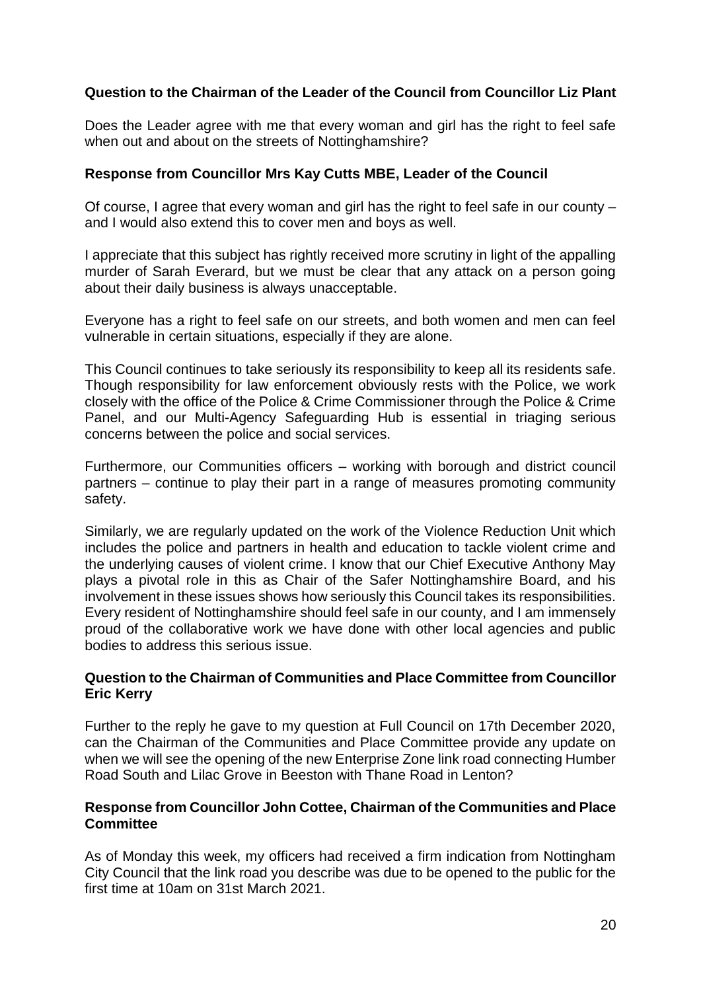# **Question to the Chairman of the Leader of the Council from Councillor Liz Plant**

Does the Leader agree with me that every woman and girl has the right to feel safe when out and about on the streets of Nottinghamshire?

## **Response from Councillor Mrs Kay Cutts MBE, Leader of the Council**

Of course, I agree that every woman and girl has the right to feel safe in our county – and I would also extend this to cover men and boys as well.

I appreciate that this subject has rightly received more scrutiny in light of the appalling murder of Sarah Everard, but we must be clear that any attack on a person going about their daily business is always unacceptable.

Everyone has a right to feel safe on our streets, and both women and men can feel vulnerable in certain situations, especially if they are alone.

This Council continues to take seriously its responsibility to keep all its residents safe. Though responsibility for law enforcement obviously rests with the Police, we work closely with the office of the Police & Crime Commissioner through the Police & Crime Panel, and our Multi-Agency Safeguarding Hub is essential in triaging serious concerns between the police and social services.

Furthermore, our Communities officers – working with borough and district council partners – continue to play their part in a range of measures promoting community safety.

Similarly, we are regularly updated on the work of the Violence Reduction Unit which includes the police and partners in health and education to tackle violent crime and the underlying causes of violent crime. I know that our Chief Executive Anthony May plays a pivotal role in this as Chair of the Safer Nottinghamshire Board, and his involvement in these issues shows how seriously this Council takes its responsibilities. Every resident of Nottinghamshire should feel safe in our county, and I am immensely proud of the collaborative work we have done with other local agencies and public bodies to address this serious issue.

## **Question to the Chairman of Communities and Place Committee from Councillor Eric Kerry**

Further to the reply he gave to my question at Full Council on 17th December 2020, can the Chairman of the Communities and Place Committee provide any update on when we will see the opening of the new Enterprise Zone link road connecting Humber Road South and Lilac Grove in Beeston with Thane Road in Lenton?

## **Response from Councillor John Cottee, Chairman of the Communities and Place Committee**

As of Monday this week, my officers had received a firm indication from Nottingham City Council that the link road you describe was due to be opened to the public for the first time at 10am on 31st March 2021.